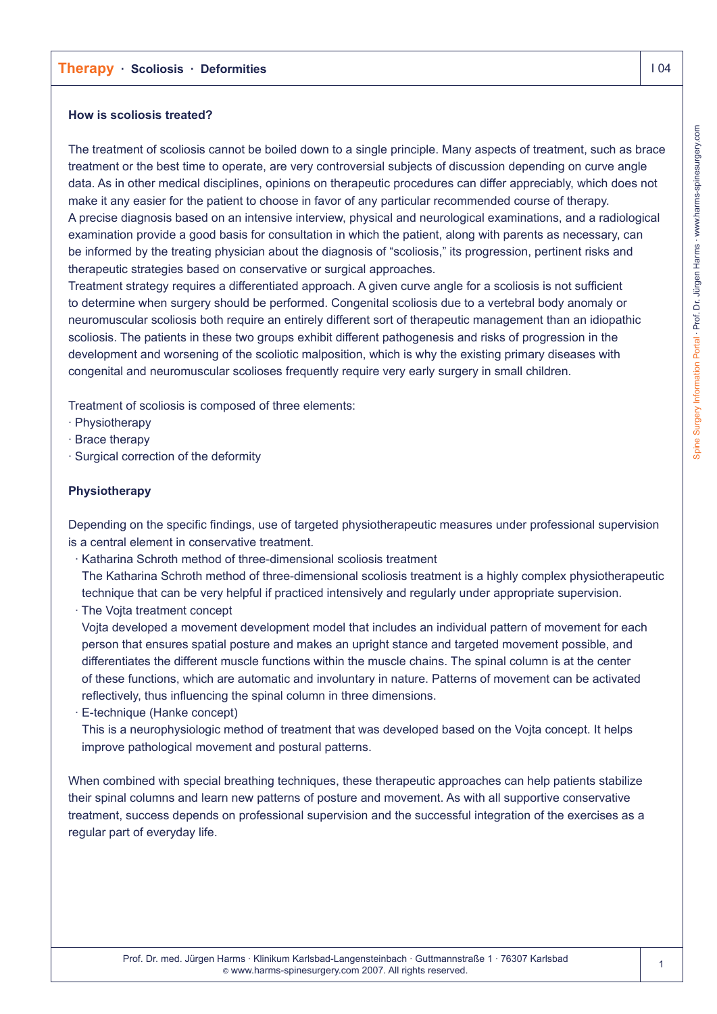# **Therapy · Scoliosis · Deformities I 2008**

### **How is scoliosis treated?**

The treatment of scoliosis cannot be boiled down to a single principle. Many aspects of treatment, such as brace treatment or the best time to operate, are very controversial subjects of discussion depending on curve angle data. As in other medical disciplines, opinions on therapeutic procedures can differ appreciably, which does not make it any easier for the patient to choose in favor of any particular recommended course of therapy. A precise diagnosis based on an intensive interview, physical and neurological examinations, and a radiological examination provide a good basis for consultation in which the patient, along with parents as necessary, can be informed by the treating physician about the diagnosis of "scoliosis," its progression, pertinent risks and therapeutic strategies based on conservative or surgical approaches.

Treatment strategy requires a differentiated approach. A given curve angle for a scoliosis is not sufficient to determine when surgery should be performed. Congenital scoliosis due to a vertebral body anomaly or neuromuscular scoliosis both require an entirely different sort of therapeutic management than an idiopathic scoliosis. The patients in these two groups exhibit different pathogenesis and risks of progression in the development and worsening of the scoliotic malposition, which is why the existing primary diseases with congenital and neuromuscular scolioses frequently require very early surgery in small children.

Treatment of scoliosis is composed of three elements:

- · Physiotherapy
- · Brace therapy
- · Surgical correction of the deformity

## **Physiotherapy**

Depending on the specific findings, use of targeted physiotherapeutic measures under professional supervision is a central element in conservative treatment.

- · Katharina Schroth method of three-dimensional scoliosis treatment The Katharina Schroth method of three-dimensional scoliosis treatment is a highly complex physiotherapeutic technique that can be very helpful if practiced intensively and regularly under appropriate supervision.
- · The Vojta treatment concept

Vojta developed a movement development model that includes an individual pattern of movement for each person that ensures spatial posture and makes an upright stance and targeted movement possible, and differentiates the different muscle functions within the muscle chains. The spinal column is at the center of these functions, which are automatic and involuntary in nature. Patterns of movement can be activated reflectively, thus influencing the spinal column in three dimensions.

· E-technique (Hanke concept)

This is a neurophysiologic method of treatment that was developed based on the Vojta concept. It helps improve pathological movement and postural patterns.

When combined with special breathing techniques, these therapeutic approaches can help patients stabilize their spinal columns and learn new patterns of posture and movement. As with all supportive conservative treatment, success depends on professional supervision and the successful integration of the exercises as a regular part of everyday life.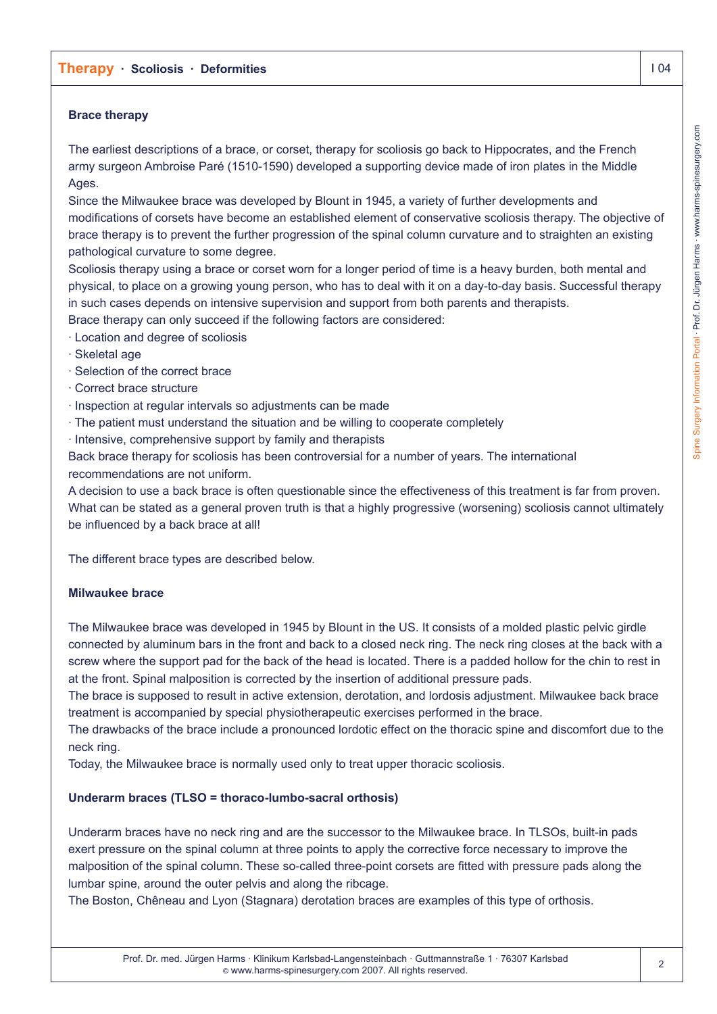# **Brace therapy**

The earliest descriptions of a brace, or corset, therapy for scoliosis go back to Hippocrates, and the French army surgeon Ambroise Paré (1510-1590) developed a supporting device made of iron plates in the Middle Ages.

Since the Milwaukee brace was developed by Blount in 1945, a variety of further developments and modifications of corsets have become an established element of conservative scoliosis therapy. The objective of brace therapy is to prevent the further progression of the spinal column curvature and to straighten an existing pathological curvature to some degree.

Scoliosis therapy using a brace or corset worn for a longer period of time is a heavy burden, both mental and physical, to place on a growing young person, who has to deal with it on a day-to-day basis. Successful therapy in such cases depends on intensive supervision and support from both parents and therapists.

Brace therapy can only succeed if the following factors are considered:

- · Location and degree of scoliosis
- · Skeletal age
- · Selection of the correct brace
- · Correct brace structure
- · Inspection at regular intervals so adjustments can be made
- · The patient must understand the situation and be willing to cooperate completely
- · Intensive, comprehensive support by family and therapists

Back brace therapy for scoliosis has been controversial for a number of years. The international recommendations are not uniform.

A decision to use a back brace is often questionable since the effectiveness of this treatment is far from proven. What can be stated as a general proven truth is that a highly progressive (worsening) scoliosis cannot ultimately be influenced by a back brace at all!

The different brace types are described below.

## **Milwaukee brace**

The Milwaukee brace was developed in 1945 by Blount in the US. It consists of a molded plastic pelvic girdle connected by aluminum bars in the front and back to a closed neck ring. The neck ring closes at the back with a screw where the support pad for the back of the head is located. There is a padded hollow for the chin to rest in at the front. Spinal malposition is corrected by the insertion of additional pressure pads.

The brace is supposed to result in active extension, derotation, and lordosis adjustment. Milwaukee back brace treatment is accompanied by special physiotherapeutic exercises performed in the brace.

The drawbacks of the brace include a pronounced lordotic effect on the thoracic spine and discomfort due to the neck ring.

Today, the Milwaukee brace is normally used only to treat upper thoracic scoliosis.

# **Underarm braces (TLSO = thoraco-lumbo-sacral orthosis)**

Underarm braces have no neck ring and are the successor to the Milwaukee brace. In TLSOs, built-in pads exert pressure on the spinal column at three points to apply the corrective force necessary to improve the malposition of the spinal column. These so-called three-point corsets are fitted with pressure pads along the lumbar spine, around the outer pelvis and along the ribcage.

The Boston, Chêneau and Lyon (Stagnara) derotation braces are examples of this type of orthosis.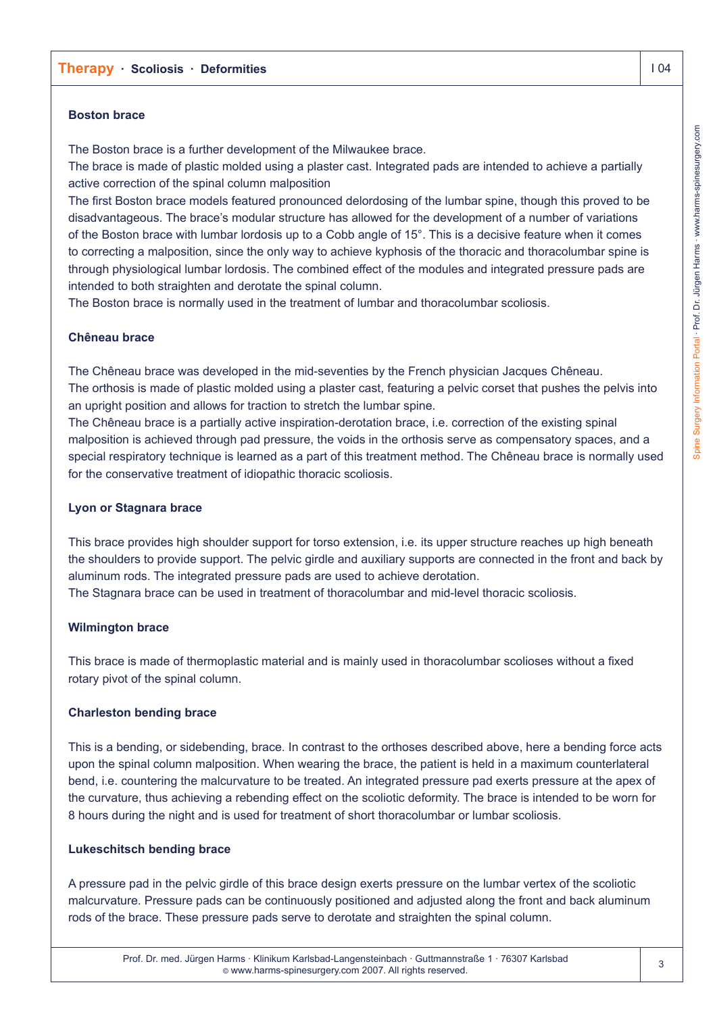## **Boston brace**

The Boston brace is a further development of the Milwaukee brace.

The brace is made of plastic molded using a plaster cast. Integrated pads are intended to achieve a partially active correction of the spinal column malposition

The first Boston brace models featured pronounced delordosing of the lumbar spine, though this proved to be disadvantageous. The brace's modular structure has allowed for the development of a number of variations of the Boston brace with lumbar lordosis up to a Cobb angle of 15°. This is a decisive feature when it comes to correcting a malposition, since the only way to achieve kyphosis of the thoracic and thoracolumbar spine is through physiological lumbar lordosis. The combined effect of the modules and integrated pressure pads are intended to both straighten and derotate the spinal column.

The Boston brace is normally used in the treatment of lumbar and thoracolumbar scoliosis.

## **Chêneau brace**

The Chêneau brace was developed in the mid-seventies by the French physician Jacques Chêneau. The orthosis is made of plastic molded using a plaster cast, featuring a pelvic corset that pushes the pelvis into an upright position and allows for traction to stretch the lumbar spine.

The Chêneau brace is a partially active inspiration-derotation brace, i.e. correction of the existing spinal malposition is achieved through pad pressure, the voids in the orthosis serve as compensatory spaces, and a special respiratory technique is learned as a part of this treatment method. The Chêneau brace is normally used for the conservative treatment of idiopathic thoracic scoliosis.

### **Lyon or Stagnara brace**

This brace provides high shoulder support for torso extension, i.e. its upper structure reaches up high beneath the shoulders to provide support. The pelvic girdle and auxiliary supports are connected in the front and back by aluminum rods. The integrated pressure pads are used to achieve derotation. The Stagnara brace can be used in treatment of thoracolumbar and mid-level thoracic scoliosis.

## **Wilmington brace**

This brace is made of thermoplastic material and is mainly used in thoracolumbar scolioses without a fixed rotary pivot of the spinal column.

#### **Charleston bending brace**

This is a bending, or sidebending, brace. In contrast to the orthoses described above, here a bending force acts upon the spinal column malposition. When wearing the brace, the patient is held in a maximum counterlateral bend, i.e. countering the malcurvature to be treated. An integrated pressure pad exerts pressure at the apex of the curvature, thus achieving a rebending effect on the scoliotic deformity. The brace is intended to be worn for 8 hours during the night and is used for treatment of short thoracolumbar or lumbar scoliosis.

#### **Lukeschitsch bending brace**

A pressure pad in the pelvic girdle of this brace design exerts pressure on the lumbar vertex of the scoliotic malcurvature. Pressure pads can be continuously positioned and adjusted along the front and back aluminum rods of the brace. These pressure pads serve to derotate and straighten the spinal column.